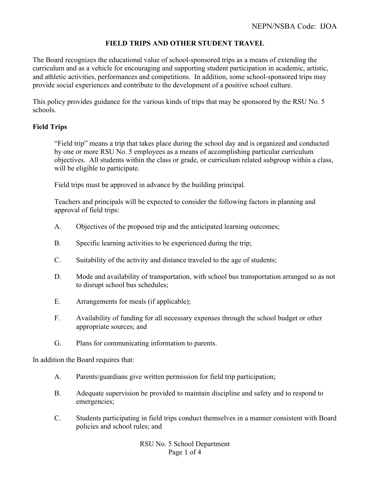# **FIELD TRIPS AND OTHER STUDENT TRAVEL**

The Board recognizes the educational value of school-sponsored trips as a means of extending the curriculum and as a vehicle for encouraging and supporting student participation in academic, artistic, and athletic activities, performances and competitions. In addition, some school-sponsored trips may provide social experiences and contribute to the development of a positive school culture.

This policy provides guidance for the various kinds of trips that may be sponsored by the RSU No. 5 schools.

## **Field Trips**

"Field trip" means a trip that takes place during the school day and is organized and conducted by one or more RSU No. 5 employees as a means of accomplishing particular curriculum objectives. All students within the class or grade, or curriculum related subgroup within a class, will be eligible to participate.

Field trips must be approved in advance by the building principal.

Teachers and principals will be expected to consider the following factors in planning and approval of field trips:

- A. Objectives of the proposed trip and the anticipated learning outcomes;
- B. Specific learning activities to be experienced during the trip;
- C. Suitability of the activity and distance traveled to the age of students;
- D. Mode and availability of transportation, with school bus transportation arranged so as not to disrupt school bus schedules;
- E. Arrangements for meals (if applicable);
- F. Availability of funding for all necessary expenses through the school budget or other appropriate sources; and
- G. Plans for communicating information to parents.

In addition the Board requires that:

- A. Parents/guardians give written permission for field trip participation;
- B. Adequate supervision be provided to maintain discipline and safety and to respond to emergencies;
- C. Students participating in field trips conduct themselves in a manner consistent with Board policies and school rules; and

RSU No. 5 School Department Page 1 of 4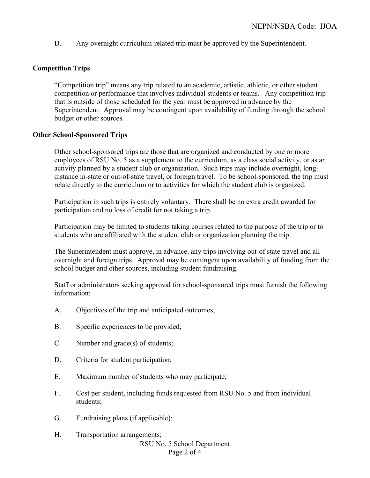D. Any overnight curriculum-related trip must be approved by the Superintendent.

### **Competition Trips**

"Competition trip" means any trip related to an academic, artistic, athletic, or other student competition or performance that involves individual students or teams. Any competition trip that is outside of those scheduled for the year must be approved in advance by the Superintendent. Approval may be contingent upon availability of funding through the school budget or other sources.

#### **Other School-Sponsored Trips**

Other school-sponsored trips are those that are organized and conducted by one or more employees of RSU No. 5 as a supplement to the curriculum, as a class social activity, or as an activity planned by a student club or organization. Such trips may include overnight, longdistance in-state or out-of-state travel, or foreign travel. To be school-sponsored, the trip must relate directly to the curriculum or to activities for which the student club is organized.

Participation in such trips is entirely voluntary. There shall be no extra credit awarded for participation and no loss of credit for not taking a trip.

Participation may be limited to students taking courses related to the purpose of the trip or to students who are affiliated with the student club or organization planning the trip.

The Superintendent must approve, in advance, any trips involving out-of state travel and all overnight and foreign trips. Approval may be contingent upon availability of funding from the school budget and other sources, including student fundraising.

Staff or administrators seeking approval for school-sponsored trips must furnish the following information:

- A. Objectives of the trip and anticipated outcomes;
- B. Specific experiences to be provided;
- C. Number and grade(s) of students;
- D. Criteria for student participation;
- E. Maximum number of students who may participate;
- F. Cost per student, including funds requested from RSU No. 5 and from individual students;
- G. Fundraising plans (if applicable);
- RSU No. 5 School Department Page 2 of 4 H. Transportation arrangements;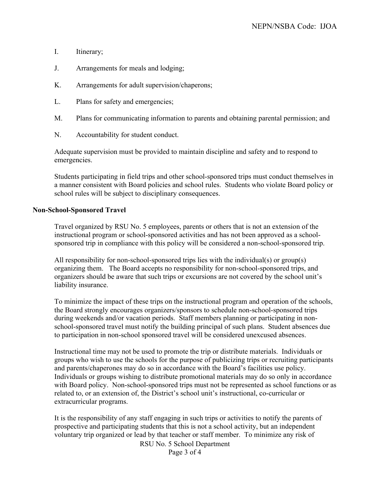- I. Itinerary;
- J. Arrangements for meals and lodging;
- K. Arrangements for adult supervision/chaperons;
- L. Plans for safety and emergencies;
- M. Plans for communicating information to parents and obtaining parental permission; and
- N. Accountability for student conduct.

Adequate supervision must be provided to maintain discipline and safety and to respond to emergencies.

Students participating in field trips and other school-sponsored trips must conduct themselves in a manner consistent with Board policies and school rules. Students who violate Board policy or school rules will be subject to disciplinary consequences.

#### **Non-School-Sponsored Travel**

Travel organized by RSU No. 5 employees, parents or others that is not an extension of the instructional program or school-sponsored activities and has not been approved as a schoolsponsored trip in compliance with this policy will be considered a non-school-sponsored trip.

All responsibility for non-school-sponsored trips lies with the individual(s) or group(s) organizing them. The Board accepts no responsibility for non-school-sponsored trips, and organizers should be aware that such trips or excursions are not covered by the school unit's liability insurance.

To minimize the impact of these trips on the instructional program and operation of the schools, the Board strongly encourages organizers/sponsors to schedule non-school-sponsored trips during weekends and/or vacation periods. Staff members planning or participating in nonschool-sponsored travel must notify the building principal of such plans. Student absences due to participation in non-school sponsored travel will be considered unexcused absences.

Instructional time may not be used to promote the trip or distribute materials. Individuals or groups who wish to use the schools for the purpose of publicizing trips or recruiting participants and parents/chaperones may do so in accordance with the Board's facilities use policy. Individuals or groups wishing to distribute promotional materials may do so only in accordance with Board policy. Non-school-sponsored trips must not be represented as school functions or as related to, or an extension of, the District's school unit's instructional, co-curricular or extracurricular programs.

It is the responsibility of any staff engaging in such trips or activities to notify the parents of prospective and participating students that this is not a school activity, but an independent voluntary trip organized or lead by that teacher or staff member.To minimize any risk of

RSU No. 5 School Department

Page 3 of 4